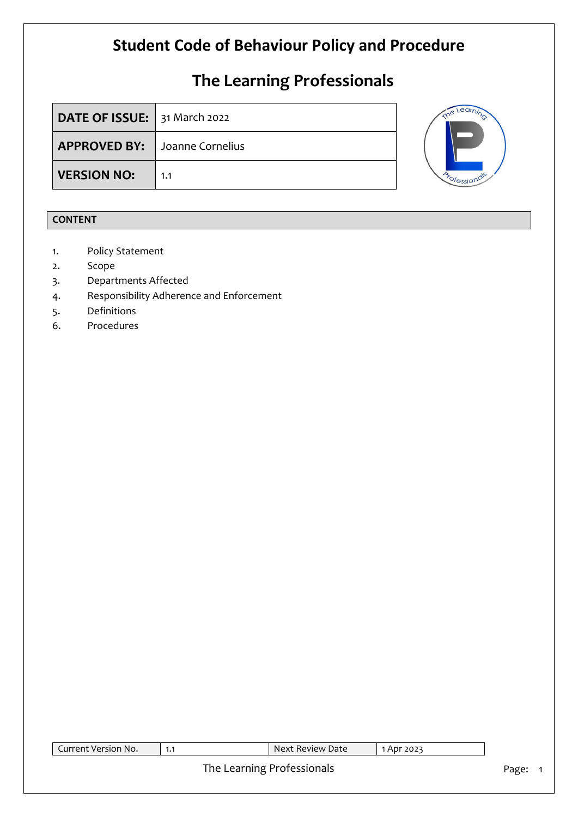# **The Learning Professionals**

| <b>DATE OF ISSUE:</b> 31 March 2022  |     |  |
|--------------------------------------|-----|--|
| <b>APPROVED BY:</b> Joanne Cornelius |     |  |
| <b>VERSION NO:</b>                   | 1.1 |  |



### **CONTENT**

- 1. Policy Statement
- 2. Scope
- 3. Departments Affected
- 4. Responsibility Adherence and Enforcement
- 5. Definitions
- 6. Procedures

| Current Version No. | 1.1 | Next Review Date           | 1 Apr 2023 |         |
|---------------------|-----|----------------------------|------------|---------|
|                     |     | The Learning Professionals |            | Page: 1 |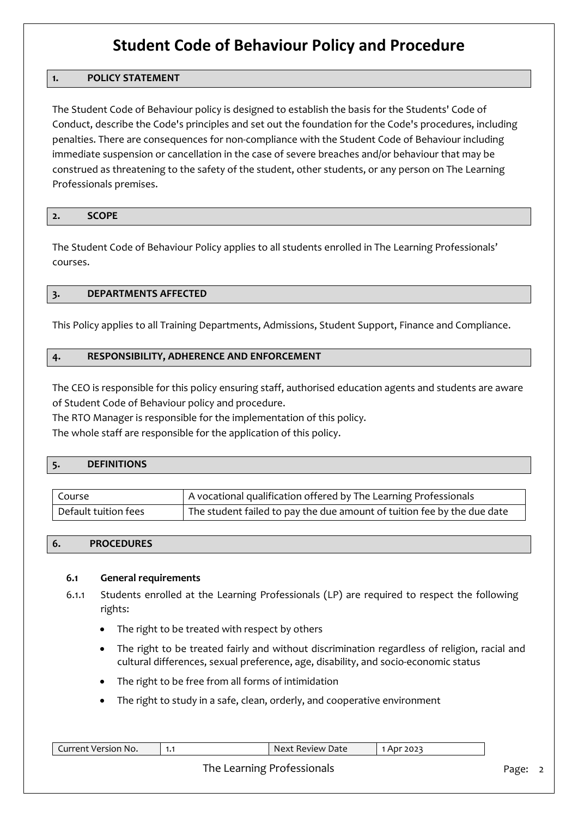#### **1. POLICY STATEMENT**

The Student Code of Behaviour policy is designed to establish the basis for the Students' Code of Conduct, describe the Code's principles and set out the foundation for the Code's procedures, including penalties. There are consequences for non-compliance with the Student Code of Behaviour including immediate suspension or cancellation in the case of severe breaches and/or behaviour that may be construed as threatening to the safety of the student, other students, or any person on The Learning Professionals premises.

| -<br>$\epsilon$ | <b>SCOPE</b> |  |
|-----------------|--------------|--|
|                 |              |  |

The Student Code of Behaviour Policy applies to all students enrolled in The Learning Professionals' courses.

#### **3. DEPARTMENTS AFFECTED**

This Policy applies to all Training Departments, Admissions, Student Support, Finance and Compliance.

#### **4. RESPONSIBILITY, ADHERENCE AND ENFORCEMENT**

The CEO is responsible for this policy ensuring staff, authorised education agents and students are aware of Student Code of Behaviour policy and procedure.

The RTO Manager is responsible for the implementation of this policy.

The whole staff are responsible for the application of this policy.

#### **5. DEFINITIONS**

| l Course             | A vocational qualification offered by The Learning Professionals        |
|----------------------|-------------------------------------------------------------------------|
| Default tuition fees | The student failed to pay the due amount of tuition fee by the due date |

#### **6. PROCEDURES**

#### **6.1 General requirements**

- 6.1.1 Students enrolled at the Learning Professionals (LP) are required to respect the following rights:
	- The right to be treated with respect by others
	- The right to be treated fairly and without discrimination regardless of religion, racial and cultural differences, sexual preference, age, disability, and socio-economic status
	- The right to be free from all forms of intimidation
	- The right to study in a safe, clean, orderly, and cooperative environment

| Current Version No. |  | $\blacksquare$ Next Review Date $\blacksquare$ | 1 Apr 2023 |  |  |
|---------------------|--|------------------------------------------------|------------|--|--|
|                     |  | Page:                                          |            |  |  |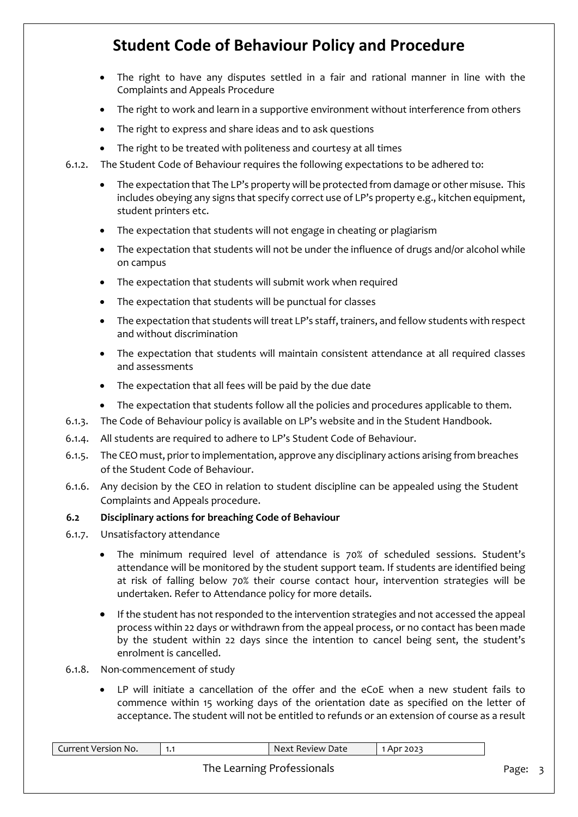- The right to have any disputes settled in a fair and rational manner in line with the Complaints and Appeals Procedure
- The right to work and learn in a supportive environment without interference from others
- The right to express and share ideas and to ask questions
- The right to be treated with politeness and courtesy at all times
- 6.1.2. The Student Code of Behaviour requires the following expectations to be adhered to:
	- The expectation that The LP's property will be protected from damage or other misuse. This includes obeying any signs that specify correct use of LP's property e.g., kitchen equipment, student printers etc.
	- The expectation that students will not engage in cheating or plagiarism
	- The expectation that students will not be under the influence of drugs and/or alcohol while on campus
	- The expectation that students will submit work when required
	- The expectation that students will be punctual for classes
	- The expectation that students will treat LP's staff, trainers, and fellow students with respect and without discrimination
	- The expectation that students will maintain consistent attendance at all required classes and assessments
	- The expectation that all fees will be paid by the due date
	- The expectation that students follow all the policies and procedures applicable to them.
- 6.1.3. The Code of Behaviour policy is available on LP's website and in the Student Handbook.
- 6.1.4. All students are required to adhere to LP's Student Code of Behaviour.
- 6.1.5. The CEO must, prior to implementation, approve any disciplinary actions arising from breaches of the Student Code of Behaviour.
- 6.1.6. Any decision by the CEO in relation to student discipline can be appealed using the Student Complaints and Appeals procedure.

#### **6.2 Disciplinary actions for breaching Code of Behaviour**

- 6.1.7. Unsatisfactory attendance
	- The minimum required level of attendance is 70% of scheduled sessions. Student's attendance will be monitored by the student support team. If students are identified being at risk of falling below 70% their course contact hour, intervention strategies will be undertaken. Refer to Attendance policy for more details.
	- If the student has not responded to the intervention strategies and not accessed the appeal process within 22 days or withdrawn from the appeal process, or no contact has been made by the student within 22 days since the intention to cancel being sent, the student's enrolment is cancelled.
- 6.1.8. Non-commencement of study
	- LP will initiate a cancellation of the offer and the eCoE when a new student fails to commence within 15 working days of the orientation date as specified on the letter of acceptance. The student will not be entitled to refunds or an extension of course as a result

| Current Version No. | 1.1 | Next Review Date           | I Apr 2023 |       |  |
|---------------------|-----|----------------------------|------------|-------|--|
|                     |     | The Learning Professionals |            | Page: |  |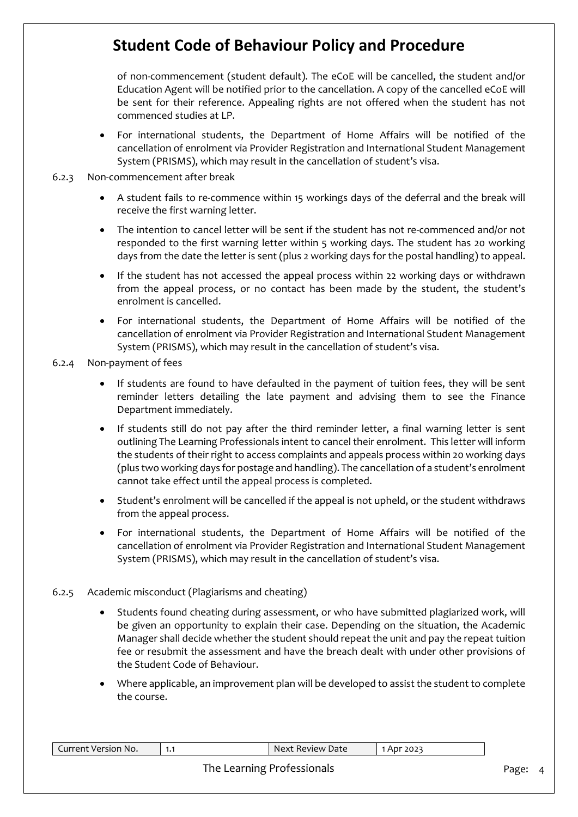of non-commencement (student default). The eCoE will be cancelled, the student and/or Education Agent will be notified prior to the cancellation. A copy of the cancelled eCoE will be sent for their reference. Appealing rights are not offered when the student has not commenced studies at LP.

• For international students, the Department of Home Affairs will be notified of the cancellation of enrolment via Provider Registration and International Student Management System (PRISMS), which may result in the cancellation of student's visa.

#### 6.2.3 Non-commencement after break

- A student fails to re-commence within 15 workings days of the deferral and the break will receive the first warning letter.
- The intention to cancel letter will be sent if the student has not re-commenced and/or not responded to the first warning letter within 5 working days. The student has 20 working days from the date the letter is sent (plus 2 working days for the postal handling) to appeal.
- If the student has not accessed the appeal process within 22 working days or withdrawn from the appeal process, or no contact has been made by the student, the student's enrolment is cancelled.
- For international students, the Department of Home Affairs will be notified of the cancellation of enrolment via Provider Registration and International Student Management System (PRISMS), which may result in the cancellation of student's visa.

6.2.4 Non-payment of fees

- If students are found to have defaulted in the payment of tuition fees, they will be sent reminder letters detailing the late payment and advising them to see the Finance Department immediately.
- If students still do not pay after the third reminder letter, a final warning letter is sent outlining The Learning Professionals intent to cancel their enrolment. This letter will inform the students of their right to access complaints and appeals process within 20 working days (plus two working days for postage and handling). The cancellation of a student's enrolment cannot take effect until the appeal process is completed.
- Student's enrolment will be cancelled if the appeal is not upheld, or the student withdraws from the appeal process.
- For international students, the Department of Home Affairs will be notified of the cancellation of enrolment via Provider Registration and International Student Management System (PRISMS), which may result in the cancellation of student's visa.

#### 6.2.5 Academic misconduct (Plagiarisms and cheating)

- Students found cheating during assessment, or who have submitted plagiarized work, will be given an opportunity to explain their case. Depending on the situation, the Academic Manager shall decide whether the student should repeat the unit and pay the repeat tuition fee or resubmit the assessment and have the breach dealt with under other provisions of the Student Code of Behaviour.
- Where applicable, an improvement plan will be developed to assist the student to complete the course.

| Current Version No.        | 1.1 | Next Review Date | 1 Apr 2023 |       |  |
|----------------------------|-----|------------------|------------|-------|--|
| The Learning Professionals |     |                  |            | Page: |  |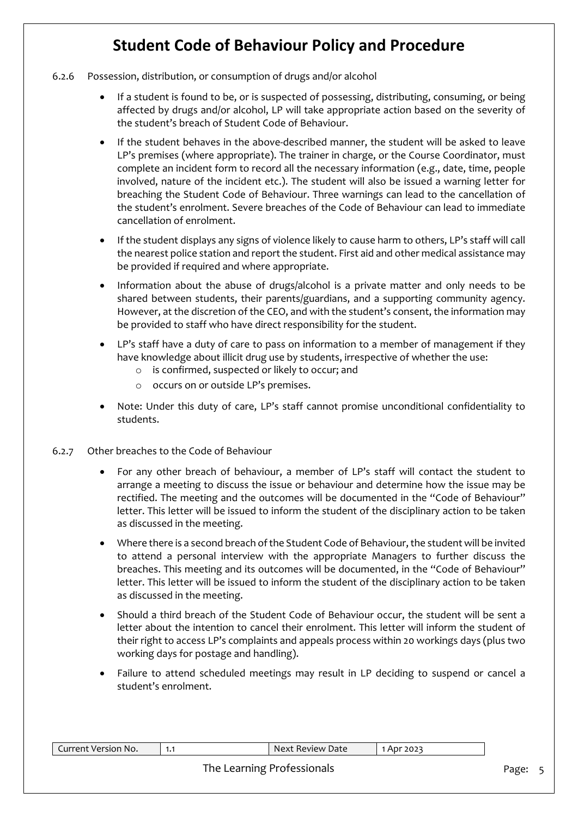- 6.2.6 Possession, distribution, or consumption of drugs and/or alcohol
	- If a student is found to be, or is suspected of possessing, distributing, consuming, or being affected by drugs and/or alcohol, LP will take appropriate action based on the severity of the student's breach of Student Code of Behaviour.
	- If the student behaves in the above-described manner, the student will be asked to leave LP's premises (where appropriate). The trainer in charge, or the Course Coordinator, must complete an incident form to record all the necessary information (e.g., date, time, people involved, nature of the incident etc.). The student will also be issued a warning letter for breaching the Student Code of Behaviour. Three warnings can lead to the cancellation of the student's enrolment. Severe breaches of the Code of Behaviour can lead to immediate cancellation of enrolment.
	- If the student displays any signs of violence likely to cause harm to others, LP's staff will call the nearest police station and report the student. First aid and other medical assistance may be provided if required and where appropriate.
	- Information about the abuse of drugs/alcohol is a private matter and only needs to be shared between students, their parents/guardians, and a supporting community agency. However, at the discretion of the CEO, and with the student's consent, the information may be provided to staff who have direct responsibility for the student.
	- LP's staff have a duty of care to pass on information to a member of management if they have knowledge about illicit drug use by students, irrespective of whether the use:
		- o is confirmed, suspected or likely to occur; and
		- o occurs on or outside LP's premises.
	- Note: Under this duty of care, LP's staff cannot promise unconditional confidentiality to students.
- 6.2.7 Other breaches to the Code of Behaviour
	- For any other breach of behaviour, a member of LP's staff will contact the student to arrange a meeting to discuss the issue or behaviour and determine how the issue may be rectified. The meeting and the outcomes will be documented in the "Code of Behaviour" letter. This letter will be issued to inform the student of the disciplinary action to be taken as discussed in the meeting.
	- Where there is a second breach of the Student Code of Behaviour, the student will be invited to attend a personal interview with the appropriate Managers to further discuss the breaches. This meeting and its outcomes will be documented, in the "Code of Behaviour" letter. This letter will be issued to inform the student of the disciplinary action to be taken as discussed in the meeting.
	- Should a third breach of the Student Code of Behaviour occur, the student will be sent a letter about the intention to cancel their enrolment. This letter will inform the student of their right to access LP's complaints and appeals process within 20 workings days (plus two working days for postage and handling).
	- Failure to attend scheduled meetings may result in LP deciding to suspend or cancel a student's enrolment.

| Current Version No. | 1.1 | Next Review Date | 1 Apr 2023 |  |  |
|---------------------|-----|------------------|------------|--|--|
|                     |     | Page:            |            |  |  |